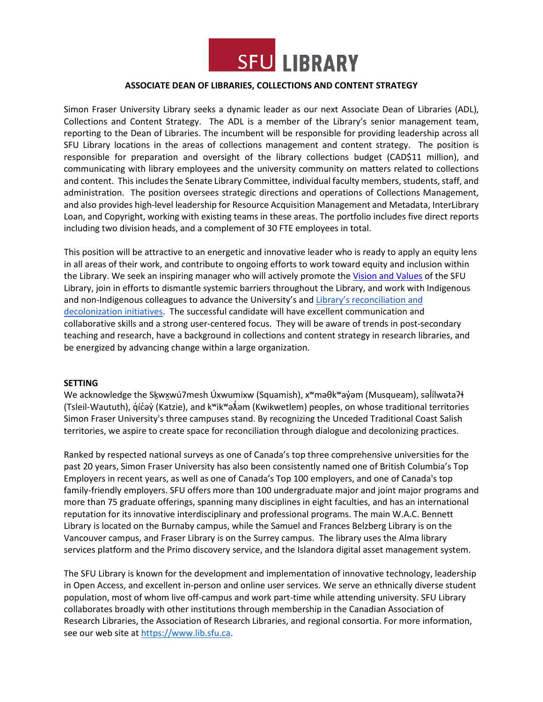

#### **ASSOCIATE DEAN OF LIBRARIES, COLLECTIONS AND CONTENT STRATEGY**

Simon Fraser University Library seeks a dynamic leader as our next Associate Dean of Libraries (ADL), Collections and Content Strategy. The ADL is a member of the Library's senior management team, reporting to the Dean of Libraries. The incumbent will be responsible for providing leadership across all SFU Library locations in the areas of collections management and content strategy. The position is responsible for preparation and oversight of the library collections budget (CAD\$11 million), and communicating with library employees and the university community on matters related to collections and content. Thisincludesthe Senate Library Committee, individual faculty members, students, staff, and administration. The position oversees strategic directions and operations of Collections Management, and also provides high-level leadership for Resource Acquisition Management and Metadata, InterLibrary Loan, and Copyright, working with existing teams in these areas. The portfolio includes five direct reports including two division heads, and a complement of 30 FTE employees in total.

This position will be attractive to an energetic and innovative leader who is ready to apply an equity lens in all areas of their work, and contribute to ongoing efforts to work toward equity and inclusion within the Library. We seek an inspiring manager who will actively promote the [Vision and Values](https://www.lib.sfu.ca/system/files/26348/strategic-plan-2017-2021-compressed.pdf) of the SFU Library, join in efforts to dismantle systemic barriers throughout the Library, and work with Indigenous and non-Indigenous colleagues to advance the University's and Library's reconciliation and [decolonization initiatives.](https://www.lib.sfu.ca/help/academic-integrity/indigenous-initiatives) The successful candidate will have excellent communication and collaborative skills and a strong user-centered focus. They will be aware of trends in post-secondary teaching and research, have a background in collections and content strategy in research libraries, and be energized by advancing change within a large organization.

#### **SETTING**

We acknowledge the Skwxwú 7mesh Úxwumixw (Squamish), x<sup>w</sup>məθk biyam (Musqueam), səlilwəta ?+ (Tsleil-Waututh), q̓íc̓əy̓ (Katzie), and kʷikʷə $\vec{\lambda}$ əm (Kwikwetlem) peoples, on whose traditional territories Simon Fraser University's three campuses stand. By recognizing the Unceded Traditional Coast Salish territories, we aspire to create space for reconciliation through dialogue and decolonizing practices.

Ranked by respected national surveys as one of Canada's top three comprehensive universities for the past 20 years, Simon Fraser University has also been consistently named one of British Columbia's Top Employers in recent years, as well as one of Canada's Top 100 employers, and one of Canada's top family-friendly employers. SFU offers more than 100 undergraduate major and joint major programs and more than 75 graduate offerings, spanning many disciplines in eight faculties, and has an international reputation for its innovative interdisciplinary and professional programs. The main W.A.C. Bennett Library is located on the Burnaby campus, while the Samuel and Frances Belzberg Library is on the Vancouver campus, and Fraser Library is on the Surrey campus. The library uses the Alma library services platform and the Primo discovery service, and the Islandora digital asset management system.

The SFU Library is known for the development and implementation of innovative technology, leadership in Open Access, and excellent in-person and online user services. We serve an ethnically diverse student population, most of whom live off-campus and work part-time while attending university. SFU Library collaborates broadly with other institutions through membership in the Canadian Association of Research Libraries, the Association of Research Libraries, and regional consortia. For more information, see our web site at [https://www.lib.sfu.ca.](https://www.lib.sfu.ca/)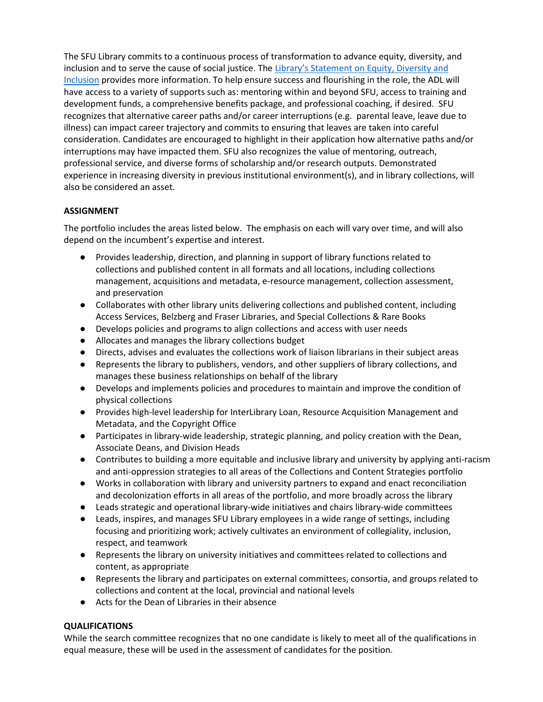The SFU Library commits to a continuous process of transformation to advance equity, diversity, and inclusion and to serve the cause of social justice. The [Library's Statement on Equity, Diversity and](https://www.lib.sfu.ca/about/overview/policies/edi)  [Inclusion](https://www.lib.sfu.ca/about/overview/policies/edi) provides more information. To help ensure success and flourishing in the role, the ADL will have access to a variety of supports such as: mentoring within and beyond SFU, access to training and development funds, a comprehensive benefits package, and professional coaching, if desired. SFU recognizes that alternative career paths and/or career interruptions (e.g. parental leave, leave due to illness) can impact career trajectory and commits to ensuring that leaves are taken into careful consideration. Candidates are encouraged to highlight in their application how alternative paths and/or interruptions may have impacted them. SFU also recognizes the value of mentoring, outreach, professional service, and diverse forms of scholarship and/or research outputs. Demonstrated experience in increasing diversity in previous institutional environment(s), and in library collections, will also be considered an asset.

# **ASSIGNMENT**

The portfolio includes the areas listed below. The emphasis on each will vary over time, and will also depend on the incumbent's expertise and interest.

- Provides leadership, direction, and planning in support of library functions related to collections and published content in all formats and all locations, including collections management, acquisitions and metadata, e-resource management, collection assessment, and preservation
- Collaborates with other library units delivering collections and published content, including Access Services, Belzberg and Fraser Libraries, and Special Collections & Rare Books
- Develops policies and programs to align collections and access with user needs
- Allocates and manages the library collections budget
- Directs, advises and evaluates the collections work of liaison librarians in their subject areas
- Represents the library to publishers, vendors, and other suppliers of library collections, and manages these business relationships on behalf of the library
- Develops and implements policies and procedures to maintain and improve the condition of physical collections
- Provides high-level leadership for InterLibrary Loan, Resource Acquisition Management and Metadata, and the Copyright Office
- Participates in library-wide leadership, strategic planning, and policy creation with the Dean, Associate Deans, and Division Heads
- Contributes to building a more equitable and inclusive library and university by applying anti-racism and anti-oppression strategies to all areas of the Collections and Content Strategies portfolio
- Works in collaboration with library and university partners to expand and enact reconciliation and decolonization efforts in all areas of the portfolio, and more broadly across the library
- Leads strategic and operational library-wide initiatives and chairs library-wide committees
- Leads, inspires, and manages SFU Library employees in a wide range of settings, including focusing and prioritizing work; actively cultivates an environment of collegiality, inclusion, respect, and teamwork
- Represents the library on university initiatives and committees related to collections and content, as appropriate
- Represents the library and participates on external committees, consortia, and groups related to collections and content at the local, provincial and national levels
- Acts for the Dean of Libraries in their absence

## **QUALIFICATIONS**

While the search committee recognizes that no one candidate is likely to meet all of the qualifications in equal measure, these will be used in the assessment of candidates for the position.